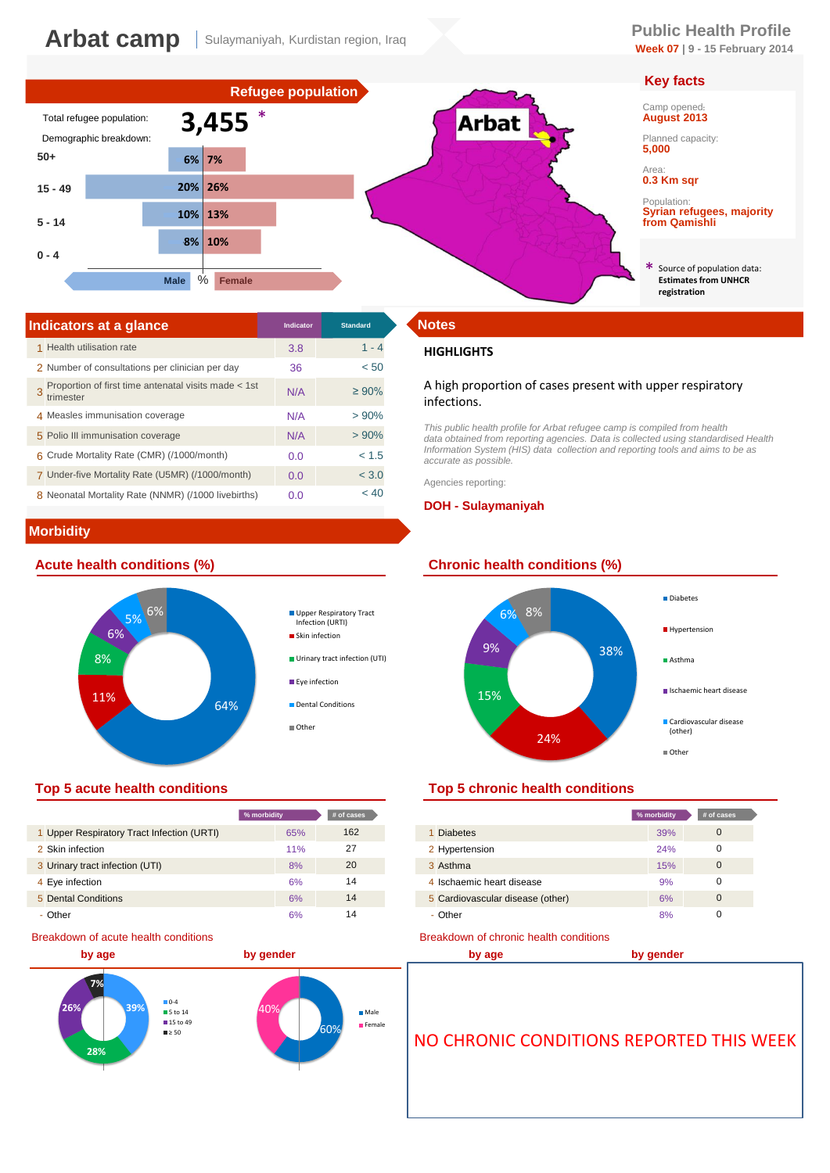# **Week 07 | 9 - 15 February 2014**

# **Key facts**

Population: **Syrian refugees, majority** 

Source of population data: **Estimates from UNHCR** 



| Indicators at a glance                                            | <b>Indicator</b> | <b>Standard</b> | <b>Notes</b>       |
|-------------------------------------------------------------------|------------------|-----------------|--------------------|
| 1 Health utilisation rate                                         | 3.8              | $1 - 4$         | <b>HIGH</b>        |
| 2 Number of consultations per clinician per day                   | 36               | < 50            |                    |
| Proportion of first time antenatal visits made < 1st<br>trimester | N/A              | $\geq 90\%$     | A high<br>infect   |
| 4 Measles immunisation coverage                                   | N/A              | >90%            |                    |
| 5 Polio III immunisation coverage                                 | N/A              | >90%            | This pu<br>data ob |
| 6 Crude Mortality Rate (CMR) (/1000/month)                        | 0.0              | < 1.5           | Informa<br>accurat |
| 7 Under-five Mortality Rate (U5MR) (/1000/month)                  | 0.0              | < 3.0           | Agencie            |
| 8 Neonatal Mortality Rate (NNMR) (/1000 livebirths)               | 0.0              | < 40            |                    |

# **Morbidity**





|                                            | % morbidity | # of cases |                                  |
|--------------------------------------------|-------------|------------|----------------------------------|
| 1 Upper Respiratory Tract Infection (URTI) | 65%         | 162        | <b>Diabetes</b>                  |
| 2 Skin infection                           | 11%         | 27         | 2 Hypertension                   |
| 3 Urinary tract infection (UTI)            | 8%          | 20         | 3 Asthma                         |
| 4 Eye infection                            | 6%          | 14         | 4 Ischaemic heart disease        |
| 5 Dental Conditions                        | 6%          | 14         | 5 Cardiovascular disease (other) |
| - Other                                    | 6%          | 14         | - Other                          |

### Breakdown of acute health conditions



## **HIGHLIGHTS**

## A high proportion of cases present with upper respiratory infections.

*This public health profile for Arbat refugee camp is compiled from health data obtained from reporting agencies. Data is collected using standardised Health Information System (HIS) data collection and reporting tools and aims to be as accurate as possible.* 

Agencies reporting:

### **DOH - Sulaymaniyah**



## **Top 5 acute health conditions Top 5 chronic health conditions**

| % morbidity |     | # of cases |                                  | % morbidity | # of cases |
|-------------|-----|------------|----------------------------------|-------------|------------|
|             | 65% | 162        | 1 Diabetes                       | 39%         |            |
|             | 11% | 27         | 2 Hypertension                   | 24%         |            |
|             | 8%  | 20         | 3 Asthma                         | 15%         | $\Omega$   |
|             | 6%  | 14         | 4 Ischaemic heart disease        | 9%          |            |
|             | 6%  | 14         | 5 Cardiovascular disease (other) | 6%          | $\Omega$   |
|             | 6%  | 14         | - Other                          | 8%          |            |

#### Breakdown of chronic health conditions

**by age by gender**

≥ 50 NO CHRONIC CONDITIONS REPORTED THIS WEEK